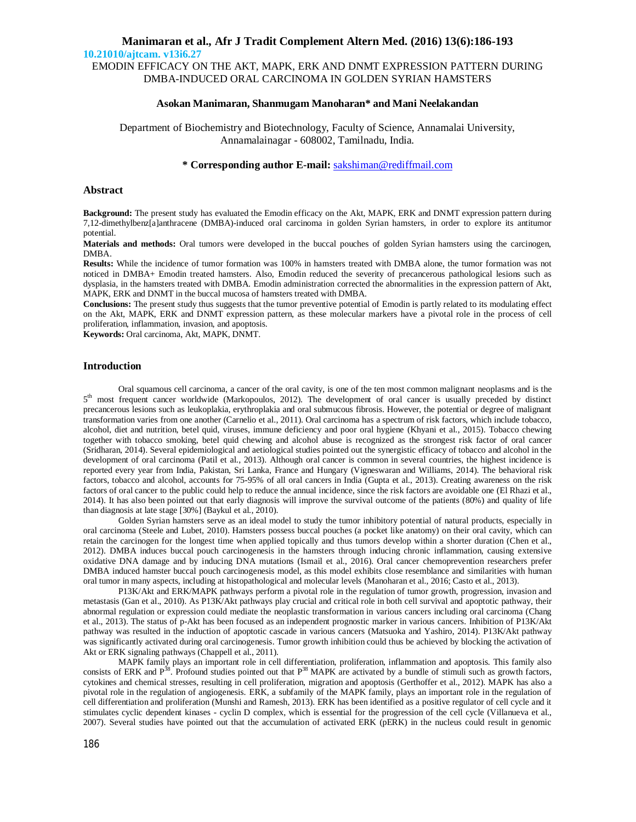**10.21010/ajtcam. v13i6.27**

EMODIN EFFICACY ON THE AKT, MAPK, ERK AND DNMT EXPRESSION PATTERN DURING DMBA-INDUCED ORAL CARCINOMA IN GOLDEN SYRIAN HAMSTERS

### **Asokan Manimaran, Shanmugam Manoharan\* and Mani Neelakandan**

Department of Biochemistry and Biotechnology, Faculty of Science, Annamalai University, Annamalainagar - 608002, Tamilnadu, India.

# **\* Corresponding author E-mail:** [sakshiman@rediffmail.com](mailto:sakshiman@rediffmail.com)

## **Abstract**

**Background:** The present study has evaluated the Emodin efficacy on the Akt, MAPK, ERK and DNMT expression pattern during 7,12-dimethylbenz[a]anthracene (DMBA)-induced oral carcinoma in golden Syrian hamsters, in order to explore its antitumor potential.

**Materials and methods:** Oral tumors were developed in the buccal pouches of golden Syrian hamsters using the carcinogen, DMBA.

**Results:** While the incidence of tumor formation was 100% in hamsters treated with DMBA alone, the tumor formation was not noticed in DMBA+ Emodin treated hamsters. Also, Emodin reduced the severity of precancerous pathological lesions such as dysplasia, in the hamsters treated with DMBA. Emodin administration corrected the abnormalities in the expression pattern of Akt, MAPK, ERK and DNMT in the buccal mucosa of hamsters treated with DMBA.

**Conclusions:** The present study thus suggests that the tumor preventive potential of Emodin is partly related to its modulating effect on the Akt, MAPK, ERK and DNMT expression pattern, as these molecular markers have a pivotal role in the process of cell proliferation, inflammation, invasion, and apoptosis.

**Keywords:** Oral carcinoma, Akt, MAPK, DNMT.

## **Introduction**

Oral squamous cell carcinoma, a cancer of the oral cavity, is one of the ten most common malignant neoplasms and is the 5<sup>th</sup> most frequent cancer worldwide (Markopoulos, 2012). The development of oral cancer is usually preceded by distinct precancerous lesions such as leukoplakia, erythroplakia and oral submucous fibrosis. However, the potential or degree of malignant transformation varies from one another (Carnelio et al., 2011). Oral carcinoma has a spectrum of risk factors, which include tobacco, alcohol, diet and nutrition, betel quid, viruses, immune deficiency and poor oral hygiene (Khyani et al., 2015). Tobacco chewing together with tobacco smoking, betel quid chewing and alcohol abuse is recognized as the strongest risk factor of oral cancer (Sridharan, 2014). Several epidemiological and aetiological studies pointed out the synergistic efficacy of tobacco and alcohol in the development of oral carcinoma (Patil et al., 2013). Although oral cancer is common in several countries, the highest incidence is reported every year from India, Pakistan, Sri Lanka, France and Hungary (Vigneswaran and Williams, 2014). The behavioral risk factors, tobacco and alcohol, accounts for 75-95% of all oral cancers in India (Gupta et al., 2013). Creating awareness on the risk factors of oral cancer to the public could help to reduce the annual incidence, since the risk factors are avoidable one (El Rhazi et al., 2014). It has also been pointed out that early diagnosis will improve the survival outcome of the patients (80%) and quality of life than diagnosis at late stage [30%] (Baykul et al., 2010).

Golden Syrian hamsters serve as an ideal model to study the tumor inhibitory potential of natural products, especially in oral carcinoma (Steele and Lubet, 2010). Hamsters possess buccal pouches (a pocket like anatomy) on their oral cavity, which can retain the carcinogen for the longest time when applied topically and thus tumors develop within a shorter duration (Chen et al., 2012). DMBA induces buccal pouch carcinogenesis in the hamsters through inducing chronic inflammation, causing extensive oxidative DNA damage and by inducing DNA mutations (Ismail et al., 2016). Oral cancer chemoprevention researchers prefer DMBA induced hamster buccal pouch carcinogenesis model, as this model exhibits close resemblance and similarities with human oral tumor in many aspects, including at histopathological and molecular levels (Manoharan et al., 2016; Casto et al., 2013).

P13K/Akt and ERK/MAPK pathways perform a pivotal role in the regulation of tumor growth, progression, invasion and metastasis (Gan et al., 2010). As P13K/Akt pathways play crucial and critical role in both cell survival and apoptotic pathway, their abnormal regulation or expression could mediate the neoplastic transformation in various cancers including oral carcinoma (Chang et al., 2013). The status of p-Akt has been focused as an independent prognostic marker in various cancers. Inhibition of P13K/Akt pathway was resulted in the induction of apoptotic cascade in various cancers (Matsuoka and Yashiro, 2014). P13K/Akt pathway was significantly activated during oral carcinogenesis. Tumor growth inhibition could thus be achieved by blocking the activation of Akt or ERK signaling pathways (Chappell et al., 2011).

MAPK family plays an important role in cell differentiation, proliferation, inflammation and apoptosis. This family also consists of ERK and  $P^{38}$ . Profound studies pointed out that  $P^{38}$  MAPK are activated by a bundle of stimuli such as growth factors, cytokines and chemical stresses, resulting in cell proliferation, migration and apoptosis (Gerthoffer et al., 2012). MAPK has also a pivotal role in the regulation of angiogenesis. ERK, a subfamily of the MAPK family, plays an important role in the regulation of cell differentiation and proliferation (Munshi and Ramesh, 2013). ERK has been identified as a positive regulator of cell cycle and it stimulates cyclic dependent kinases - cyclin D complex, which is essential for the progression of the cell cycle (Villanueva et al., 2007). Several studies have pointed out that the accumulation of activated ERK (pERK) in the nucleus could result in genomic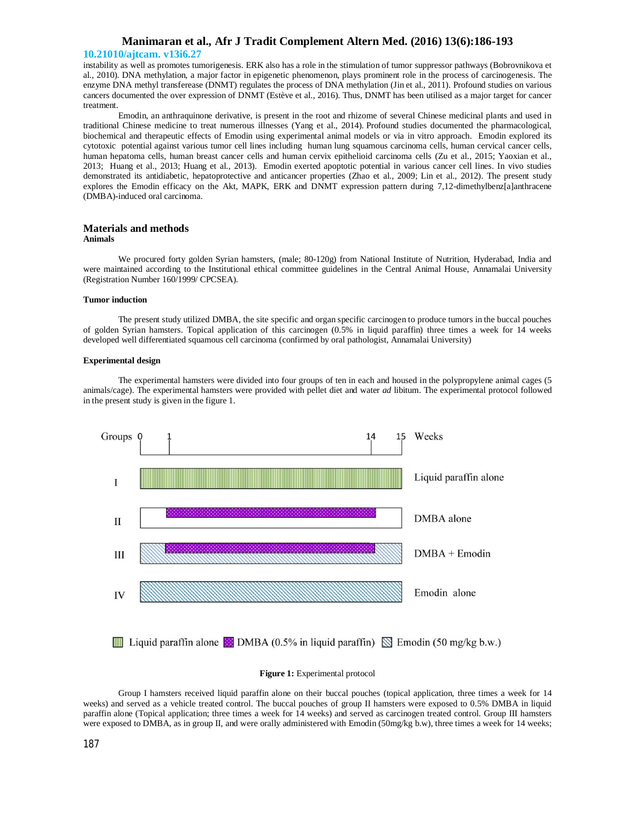#### **10.21010/ajtcam. v13i6.27**

instability as well as promotes tumorigenesis. ERK also has a role in the stimulation of tumor suppressor pathways (Bobrovnikova et al., 2010). DNA methylation, a major factor in epigenetic phenomenon, plays prominent role in the process of carcinogenesis. The enzyme DNA methyl transferease (DNMT) regulates the process of DNA methylation (Jin et al., 2011). Profound studies on various cancers documented the over expression of DNMT (Estève et al., 2016). Thus, DNMT has been utilised as a major target for cancer treatment.

Emodin, an anthraquinone derivative, is present in the root and rhizome of several Chinese medicinal plants and used in traditional Chinese medicine to treat numerous illnesses (Yang et al., 2014). Profound studies documented the pharmacological, biochemical and therapeutic effects of Emodin using experimental animal models or via in vitro approach. Emodin explored its cytotoxic potential against various tumor cell lines including human lung squamous carcinoma cells, human cervical cancer cells, human hepatoma cells, human breast cancer cells and human cervix epithelioid carcinoma cells (Zu et al., 2015; Yaoxian et al., 2013; Huang et al., 2013; Huang et al., 2013). Emodin exerted apoptotic potential in various cancer cell lines. In vivo studies demonstrated its antidiabetic, hepatoprotective and anticancer properties (Zhao et al., 2009; Lin et al., 2012). The present study explores the Emodin efficacy on the Akt, MAPK, ERK and DNMT expression pattern during 7,12-dimethylbenz[a]anthracene (DMBA)-induced oral carcinoma.

#### **Materials and methods Animals**

We procured forty golden Syrian hamsters, (male; 80-120g) from National Institute of Nutrition, Hyderabad, India and were maintained according to the Institutional ethical committee guidelines in the Central Animal House, Annamalai University (Registration Number 160/1999/ CPCSEA).

#### **Tumor induction**

The present study utilized DMBA, the site specific and organ specific carcinogen to produce tumors in the buccal pouches of golden Syrian hamsters. Topical application of this carcinogen (0.5% in liquid paraffin) three times a week for 14 weeks developed well differentiated squamous cell carcinoma (confirmed by oral pathologist, Annamalai University)

#### **Experimental design**

The experimental hamsters were divided into four groups of ten in each and housed in the polypropylene animal cages (5 animals/cage). The experimental hamsters were provided with pellet diet and water *ad* libitum. The experimental protocol followed in the present study is given in the figure 1.



#### Figure 1: Experimental protocol

Group I hamsters received liquid paraffin alone on their buccal pouches (topical application, three times a week for 14 weeks) and served as a vehicle treated control. The buccal pouches of group II hamsters were exposed to 0.5% DMBA in liquid paraffin alone (Topical application; three times a week for 14 weeks) and served as carcinogen treated control. Group III hamsters were exposed to DMBA, as in group II, and were orally administered with Emodin (50mg/kg b.w), three times a week for 14 weeks;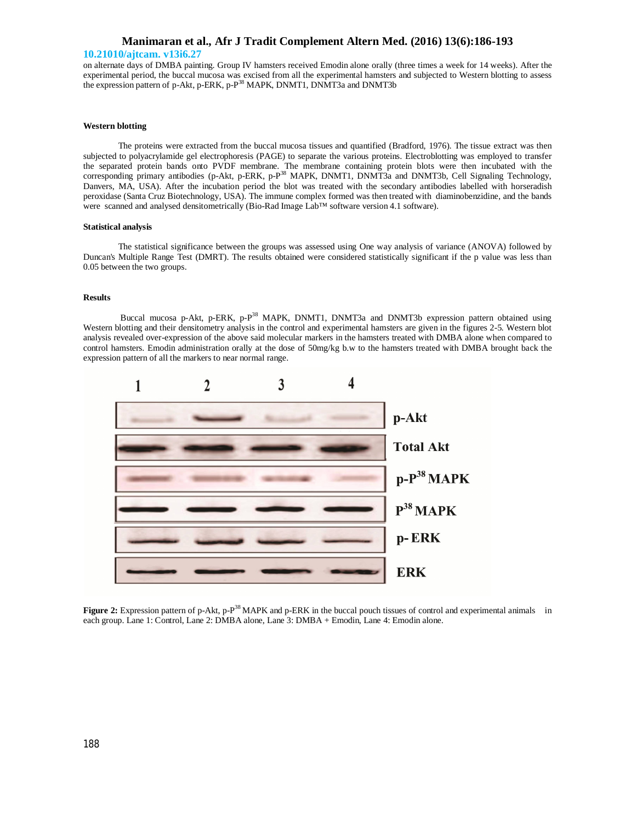#### **10.21010/ajtcam. v13i6.27**

on alternate days of DMBA painting. Group IV hamsters received Emodin alone orally (three times a week for 14 weeks). After the experimental period, the buccal mucosa was excised from all the experimental hamsters and subjected to Western blotting to assess the expression pattern of p-Akt, p-ERK, p-P<sup>38</sup> MAPK, DNMT1, DNMT3a and DNMT3b

#### **Western blotting**

The proteins were extracted from the buccal mucosa tissues and quantified (Bradford, 1976). The tissue extract was then subjected to polyacrylamide gel electrophoresis (PAGE) to separate the various proteins. Electroblotting was employed to transfer the separated protein bands onto PVDF membrane. The membrane containing protein blots were then incubated with the corresponding primary antibodies (p-Akt, p-ERK, p-P<sup>38</sup> MAPK, DNMT1, DNMT3a and DNMT3b, Cell Signaling Technology, Danvers, MA, USA). After the incubation period the blot was treated with the secondary antibodies labelled with horseradish peroxidase (Santa Cruz Biotechnology, USA). The immune complex formed was then treated with diaminobenzidine, and the bands were scanned and analysed densitometrically (Bio-Rad Image Lab™ software version 4.1 software).

#### **Statistical analysis**

The statistical significance between the groups was assessed using One way analysis of variance (ANOVA) followed by Duncan's Multiple Range Test (DMRT). The results obtained were considered statistically significant if the p value was less than 0.05 between the two groups.

## **Results**

Buccal mucosa p-Akt, p-ERK, p-P<sup>38</sup> MAPK, DNMT1, DNMT3a and DNMT3b expression pattern obtained using Western blotting and their densitometry analysis in the control and experimental hamsters are given in the figures 2-5. Western blot analysis revealed over-expression of the above said molecular markers in the hamsters treated with DMBA alone when compared to control hamsters. Emodin administration orally at the dose of 50mg/kg b.w to the hamsters treated with DMBA brought back the expression pattern of all the markers to near normal range.



**Figure 2:** Expression pattern of p-Akt, p-P<sup>38</sup> MAPK and p-ERK in the buccal pouch tissues of control and experimental animals in each group. Lane 1: Control, Lane 2: DMBA alone, Lane 3: DMBA + Emodin, Lane 4: Emodin alone.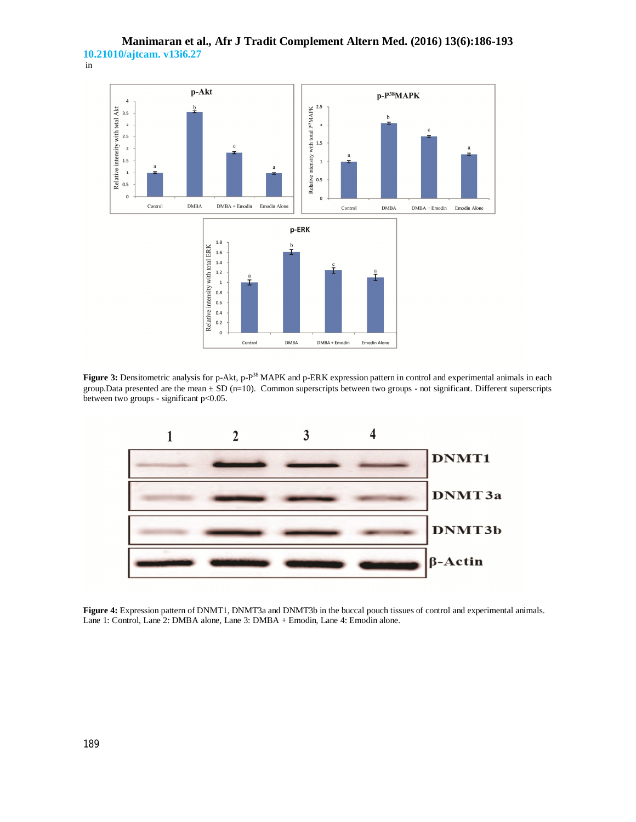



**Figure 3:** Densitometric analysis for p-Akt, p-P<sup>38</sup> MAPK and p-ERK expression pattern in control and experimental animals in each group.Data presented are the mean ± SD (n=10). Common superscripts between two groups - not significant. Different superscripts between two groups - significant p<0.05.



**Figure 4:** Expression pattern of DNMT1, DNMT3a and DNMT3b in the buccal pouch tissues of control and experimental animals. Lane 1: Control, Lane 2: DMBA alone, Lane 3: DMBA + Emodin, Lane 4: Emodin alone.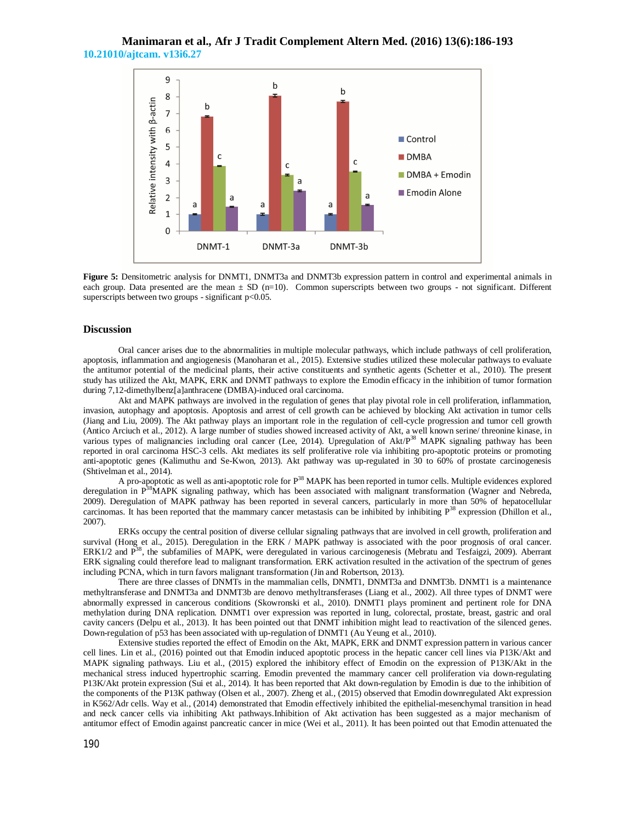# **Manimaran et al., Afr J Tradit Complement Altern Med. (2016) 13(6):186-193 10.21010/ajtcam. v13i6.27**



**Figure 5:** Densitometric analysis for DNMT1, DNMT3a and DNMT3b expression pattern in control and experimental animals in each group. Data presented are the mean  $\pm$  SD (n=10). Common superscripts between two groups - not significant. Different superscripts between two groups - significant p<0.05.

## **Discussion**

Oral cancer arises due to the abnormalities in multiple molecular pathways, which include pathways of cell proliferation, apoptosis, inflammation and angiogenesis (Manoharan et al., 2015). Extensive studies utilized these molecular pathways to evaluate the antitumor potential of the medicinal plants, their active constituents and synthetic agents (Schetter et al., 2010). The present study has utilized the Akt, MAPK, ERK and DNMT pathways to explore the Emodin efficacy in the inhibition of tumor formation during 7,12-dimethylbenz[a]anthracene (DMBA)-induced oral carcinoma.

Akt and MAPK pathways are involved in the regulation of genes that play pivotal role in cell proliferation, inflammation, invasion, autophagy and apoptosis. Apoptosis and arrest of cell growth can be achieved by blocking Akt activation in tumor cells (Jiang and Liu, 2009). The Akt pathway plays an important role in the regulation of cell-cycle progression and tumor cell growth (Antico Arciuch et al., 2012). A large number of studies showed increased activity of Akt, a well known serine/ threonine kinase, in various types of malignancies including oral cancer (Lee, 2014). Upregulation of  $\text{Akt}/P^{38}$  MAPK signaling pathway has been reported in oral carcinoma HSC-3 cells. Akt mediates its self proliferative role via inhibiting pro-apoptotic proteins or promoting anti-apoptotic genes (Kalimuthu and Se-Kwon, 2013). Akt pathway was up-regulated in 30 to 60% of prostate carcinogenesis (Shtivelman et al., 2014).

A pro-apoptotic as well as anti-apoptotic role for P<sup>38</sup> MAPK has been reported in tumor cells. Multiple evidences explored deregulation in P<sup>38</sup>MAPK signaling pathway, which has been associated with malignant transformation (Wagner and Nebreda, 2009). Deregulation of MAPK pathway has been reported in several cancers, particularly in more than 50% of hepatocellular carcinomas. It has been reported that the mammary cancer metastasis can be inhibited by inhibiting  $P^{38}$  expression (Dhillon et al., 2007).

ERKs occupy the central position of diverse cellular signaling pathways that are involved in cell growth, proliferation and survival (Hong et al., 2015). Deregulation in the ERK / MAPK pathway is associated with the poor prognosis of oral cancer. ERK1/2 and  $\overline{P}^{38}$ , the subfamilies of MAPK, were deregulated in various carcinogenesis (Mebratu and Tesfaigzi, 2009). Aberrant ERK signaling could therefore lead to malignant transformation. ERK activation resulted in the activation of the spectrum of genes including PCNA, which in turn favors malignant transformation (Jin and Robertson, 2013).

There are three classes of DNMTs in the mammalian cells, DNMT1, DNMT3a and DNMT3b. DNMT1 is a maintenance methyltransferase and DNMT3a and DNMT3b are denovo methyltransferases (Liang et al., 2002). All three types of DNMT were abnormally expressed in cancerous conditions (Skowronski et al., 2010). DNMT1 plays prominent and pertinent role for DNA methylation during DNA replication. DNMT1 over expression was reported in lung, colorectal, prostate, breast, gastric and oral cavity cancers (Delpu et al., 2013). It has been pointed out that DNMT inhibition might lead to reactivation of the silenced genes. Down-regulation of p53 has been associated with up-regulation of DNMT1 (Au Yeung et al., 2010).

Extensive studies reported the effect of Emodin on the Akt, MAPK, ERK and DNMT expression pattern in various cancer cell lines. Lin et al., (2016) pointed out that Emodin induced apoptotic process in the hepatic cancer cell lines via P13K/Akt and MAPK signaling pathways. Liu et al., (2015) explored the inhibitory effect of Emodin on the expression of P13K/Akt in the mechanical stress induced hypertrophic scarring. Emodin prevented the mammary cancer cell proliferation via down-regulating P13K/Akt protein expression (Sui et al., 2014). It has been reported that Akt down-regulation by Emodin is due to the inhibition of the components of the P13K pathway (Olsen et al., 2007). Zheng et al., (2015) observed that Emodin downregulated Akt expression in K562/Adr cells. Way et al., (2014) demonstrated that Emodin effectively inhibited the epithelial-mesenchymal transition in head and neck cancer cells via inhibiting Akt pathways.Inhibition of Akt activation has been suggested as a major mechanism of antitumor effect of Emodin against pancreatic cancer in mice (Wei et al., 2011). It has been pointed out that Emodin attenuated the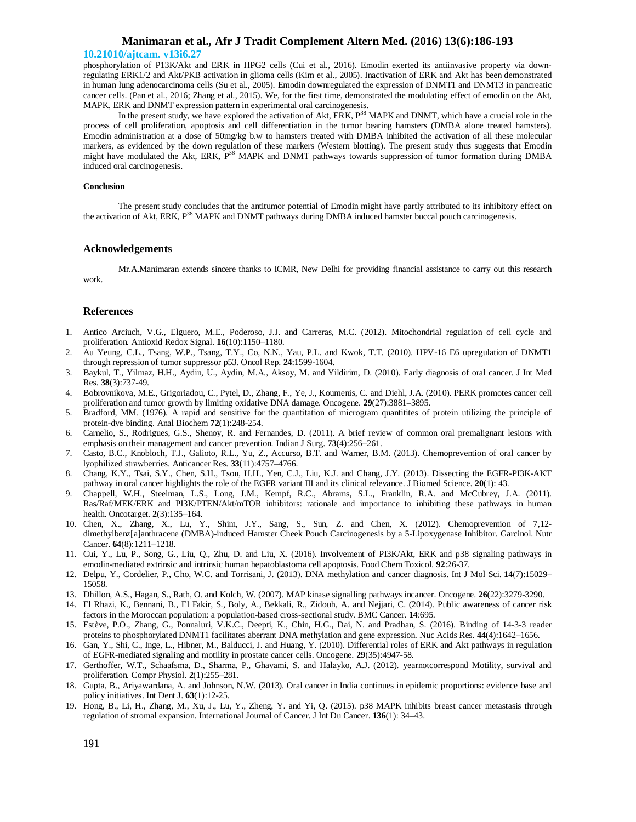#### **10.21010/ajtcam. v13i6.27**

phosphorylation of P13K/Akt and ERK in HPG2 cells (Cui et al., 2016). Emodin exerted its antiinvasive property via downregulating ERK1/2 and Akt/PKB activation in glioma cells (Kim et al., 2005). Inactivation of ERK and Akt has been demonstrated in human lung adenocarcinoma cells (Su et al., 2005). Emodin downregulated the expression of DNMT1 and DNMT3 in pancreatic cancer cells. (Pan et al., 2016; Zhang et al., 2015). We, for the first time, demonstrated the modulating effect of emodin on the Akt, MAPK, ERK and DNMT expression pattern in experimental oral carcinogenesis.

In the present study, we have explored the activation of Akt, ERK,  $P<sup>38</sup>$  MAPK and DNMT, which have a crucial role in the process of cell proliferation, apoptosis and cell differentiation in the tumor bearing hamsters (DMBA alone treated hamsters). Emodin administration at a dose of 50mg/kg b.w to hamsters treated with DMBA inhibited the activation of all these molecular markers, as evidenced by the down regulation of these markers (Western blotting). The present study thus suggests that Emodin might have modulated the Akt, ERK, P<sup>38</sup> MAPK and DNMT pathways towards suppression of tumor formation during DMBA induced oral carcinogenesis.

#### **Conclusion**

The present study concludes that the antitumor potential of Emodin might have partly attributed to its inhibitory effect on the activation of Akt, ERK,  $P^{38}$  MAPK and DNMT pathways during DMBA induced hamster buccal pouch carcinogenesis.

#### **Acknowledgements**

Mr.A.Manimaran extends sincere thanks to ICMR, New Delhi for providing financial assistance to carry out this research work.

#### **References**

- 1. Antico Arciuch, V.G., Elguero, M.E., Poderoso, J.J. and Carreras, M.C. (2012). Mitochondrial regulation of cell cycle and proliferation. Antioxid Redox Signal. **16**(10):1150–1180.
- 2. Au Yeung, C.L., Tsang, W.P., Tsang, T.Y., Co, N.N., Yau, P.L. and Kwok, T.T. (2010). HPV-16 E6 upregulation of DNMT1 through repression of tumor suppressor p53. Oncol Rep. **24**:1599-1604.
- 3. Baykul, T., Yilmaz, H.H., Aydin, U., Aydin, M.A., Aksoy, M. and Yildirim, D. (2010). Early diagnosis of oral cancer. J Int Med Res. **38**(3):737-49.
- 4. Bobrovnikova, M.E., Grigoriadou, C., Pytel, D., Zhang, F., Ye, J., Koumenis, C. and Diehl, J.A. (2010). PERK promotes cancer cell proliferation and tumor growth by limiting oxidative DNA damage. Oncogene. **29**(27):3881–3895.
- 5. Bradford, MM. (1976). A rapid and sensitive for the quantitation of microgram quantitites of protein utilizing the principle of protein-dye binding. Anal Biochem **72**(1):248-254.
- 6. Carnelio, S., Rodrigues, G.S., Shenoy, R. and Fernandes, D. (2011). A brief review of common oral premalignant lesions with emphasis on their management and cancer prevention. Indian J Surg. **73**(4):256–261.
- 7. Casto, B.C., Knobloch, T.J., Galioto, R.L., Yu, Z., Accurso, B.T. and Warner, B.M. (2013). Chemoprevention of oral cancer by lyophilized strawberries. Anticancer Res. **33**(11):4757–4766.
- 8. Chang, K.Y., Tsai, S.Y., Chen, S.H., Tsou, H.H., Yen, C.J., Liu, K.J. and Chang, J.Y. (2013). Dissecting the EGFR-PI3K-AKT pathway in oral cancer highlights the role of the EGFR variant III and its clinical relevance. J Biomed Science. **20**(1): 43.
- 9. Chappell, W.H., Steelman, L.S., Long, J.M., Kempf, R.C., Abrams, S.L., Franklin, R.A. and McCubrey, J.A. (2011). Ras/Raf/MEK/ERK and PI3K/PTEN/Akt/mTOR inhibitors: rationale and importance to inhibiting these pathways in human health. Oncotarget. **2**(3):135–164.
- 10. Chen, X., Zhang, X., Lu, Y., Shim, J.Y., Sang, S., Sun, Z. and Chen, X. (2012). Chemoprevention of 7,12 dimethylbenz[a]anthracene (DMBA)-induced Hamster Cheek Pouch Carcinogenesis by a 5-Lipoxygenase Inhibitor. Garcinol. Nutr Cancer. **64**(8):1211–1218.
- 11. Cui, Y., Lu, P., Song, G., Liu, Q., Zhu, D. and Liu, X. (2016). Involvement of PI3K/Akt, ERK and p38 signaling pathways in emodin-mediated extrinsic and intrinsic human hepatoblastoma cell apoptosis. Food Chem Toxicol. **92**:26-37.
- 12. Delpu, Y., Cordelier, P., Cho, W.C. and Torrisani, J. (2013). DNA methylation and cancer diagnosis. Int J Mol Sci. **14**(7):15029– 15058.
- 13. Dhillon, A.S., Hagan, S., Rath, O. and Kolch, W. (2007). MAP kinase signalling pathways incancer. Oncogene. **26**(22):3279-3290.
- 14. El Rhazi, K., Bennani, B., El Fakir, S., Boly, A., Bekkali, R., Zidouh, A. and Nejjari, C. (2014). Public awareness of cancer risk factors in the Moroccan population: a population-based cross-sectional study. BMC Cancer. **14**:695.
- 15. Estève, P.O., Zhang, G., Ponnaluri, V.K.C., Deepti, K., Chin, H.G., Dai, N. and Pradhan, S. (2016). Binding of 14-3-3 reader proteins to phosphorylated DNMT1 facilitates aberrant DNA methylation and gene expression. Nuc Acids Res. **44**(4):1642–1656.
- 16. Gan, Y., Shi, C., Inge, L., Hibner, M., Balducci, J. and Huang, Y. (2010). Differential roles of ERK and Akt pathways in regulation of EGFR-mediated signaling and motility in prostate cancer cells. Oncogene. **29**(35):4947-58.
- 17. Gerthoffer, W.T., Schaafsma, D., Sharma, P., Ghavami, S. and Halayko, A.J. (2012). yearnotcorrespond Motility, survival and proliferation. Compr Physiol. **2**(1):255–281.
- 18. Gupta, B., Ariyawardana, A. and Johnson, N.W. (2013). Oral cancer in India continues in epidemic proportions: evidence base and policy initiatives. Int Dent J. **63**(1):12-25.
- 19. Hong, B., Li, H., Zhang, M., Xu, J., Lu, Y., Zheng, Y. and Yi, Q. (2015). p38 MAPK inhibits breast cancer metastasis through regulation of stromal expansion. International Journal of Cancer. J Int Du Cancer. **136**(1): 34–43.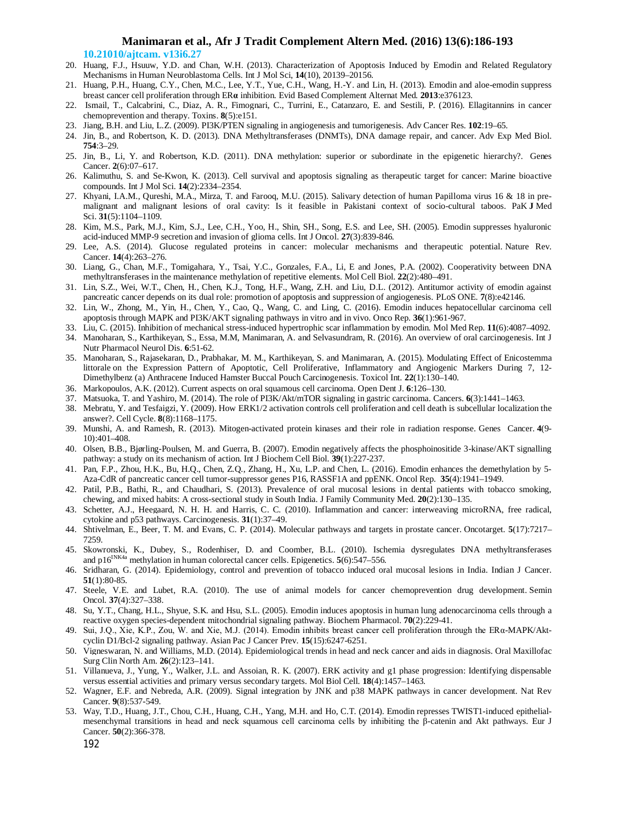**10.21010/ajtcam. v13i6.27**

- 20. Huang, F.J., Hsuuw, Y.D. and Chan, W.H. (2013). Characterization of Apoptosis Induced by Emodin and Related Regulatory Mechanisms in Human Neuroblastoma Cells. Int J Mol Sci, **14**(10), 20139–20156.
- 21. Huang, P.H., Huang, C.Y., Chen, M.C., Lee, Y.T., Yue, C.H., Wang, H.-Y. and Lin, H. (2013). Emodin and aloe-emodin suppress breast cancer cell proliferation through ER**α** inhibition. Evid Based Complement Alternat Med. **2013**:e376123.
- 22. Ismail, T., Calcabrini, C., Diaz, A. R., Fimognari, C., Turrini, E., Catanzaro, E. and Sestili, P. (2016). Ellagitannins in cancer chemoprevention and therapy. Toxins. **8**(5):e151.
- 23. Jiang, B.H. and Liu, L.Z. (2009). PI3K/PTEN signaling in angiogenesis and tumorigenesis. Adv Cancer Res. **102**:19–65.
- 24. Jin, B., and Robertson, K. D. (2013). DNA Methyltransferases (DNMTs), DNA damage repair, and cancer. Adv Exp Med Biol. **754**:3–29.
- 25. Jin, B., Li, Y. and Robertson, K.D. (2011). DNA methylation: superior or subordinate in the epigenetic hierarchy?. Genes Cancer. **2**(6):07–617.
- 26. Kalimuthu, S. and Se-Kwon, K. (2013). Cell survival and apoptosis signaling as therapeutic target for cancer: Marine bioactive compounds. Int J Mol Sci. **14**(2):2334–2354.
- 27. Khyani, I.A.M., Qureshi, M.A., Mirza, T. and Farooq, M.U. (2015). Salivary detection of human Papilloma virus 16 & 18 in premalignant and malignant lesions of oral cavity: Is it feasible in Pakistani context of socio-cultural taboos. PaK **J** Med Sci. **31**(5):1104–1109.
- 28. Kim, M.S., Park, M.J., Kim, S.J., Lee, C.H., Yoo, H., Shin, SH., Song, E.S. and Lee, SH. (2005). Emodin suppresses hyaluronic acid-induced MMP-9 secretion and invasion of glioma cells. Int J Oncol. **27**(3):839-846.
- 29. Lee, A.S. (2014). Glucose regulated proteins in cancer: molecular mechanisms and therapeutic potential. Nature Rev. Cancer. **14**(4):263–276.
- 30. Liang, G., Chan, M.F., Tomigahara, Y., Tsai, Y.C., Gonzales, F.A., Li, E and Jones, P.A. (2002). Cooperativity between DNA methyltransferases in the maintenance methylation of repetitive elements. Mol Cell Biol. **22**(2):480–491.
- 31. Lin, S.Z., Wei, W.T., Chen, H., Chen, K.J., Tong, H.F., Wang, Z.H. and Liu, D.L. (2012). Antitumor activity of emodin against pancreatic cancer depends on its dual role: promotion of apoptosis and suppression of angiogenesis. PLoS ONE. **7**(8):e42146.
- 32. Lin, W., Zhong, M., Yin, H., Chen, Y., Cao, Q., Wang, C. and Ling, C. (2016). Emodin induces hepatocellular carcinoma cell apoptosis through MAPK and PI3K/AKT signaling pathways in vitro and in vivo. Onco Rep. **36**(1):961-967.
- 33. Liu, C. (2015). Inhibition of mechanical stress-induced hypertrophic scar inflammation by emodin. Mol Med Rep. **11**(6):4087–4092.
- 34. Manoharan, S., Karthikeyan, S., Essa, M.M, Manimaran, A. and Selvasundram, R. (2016). An overview of oral carcinogenesis. Int J Nutr Pharmacol Neurol Dis. **6**:51-62.
- 35. Manoharan, S., Rajasekaran, D., Prabhakar, M. M., Karthikeyan, S. and Manimaran, A. (2015). Modulating Effect of Enicostemma littorale on the Expression Pattern of Apoptotic, Cell Proliferative, Inflammatory and Angiogenic Markers During 7, 12- Dimethylbenz (a) Anthracene Induced Hamster Buccal Pouch Carcinogenesis. Toxicol Int. **22**(1):130–140.
- 36. Markopoulos, A.K. (2012). Current aspects on oral squamous cell carcinoma. Open Dent J. **6**:126–130.
- 37. Matsuoka, T. and Yashiro, M. (2014). The role of PI3K/Akt/mTOR signaling in gastric carcinoma. Cancers. **6**(3):1441–1463.
- 38. Mebratu, Y. and Tesfaigzi, Y. (2009). How ERK1/2 activation controls cell proliferation and cell death is subcellular localization the answer?. Cell Cycle. **8**(8):1168–1175.
- 39. Munshi, A. and Ramesh, R. (2013). Mitogen-activated protein kinases and their role in radiation response. Genes Cancer. **4**(9- 10):401–408.
- 40. Olsen, B.B., Bjørling-Poulsen, M. and Guerra, B. (2007). Emodin negatively affects the phosphoinositide 3-kinase/AKT signalling pathway: a study on its mechanism of action. Int J Biochem Cell Biol. **39**(1):227-237.
- 41. Pan, F.P., Zhou, H.K., Bu, H.Q., Chen, Z.Q., Zhang, H., Xu, L.P. and Chen, L. (2016). Emodin enhances the demethylation by 5- Aza-CdR of pancreatic cancer cell tumor-suppressor genes P16, RASSF1A and ppENK. Oncol Rep. **35**(4):1941–1949.
- 42. Patil, P.B., Bathi, R., and Chaudhari, S. (2013). Prevalence of oral mucosal lesions in dental patients with tobacco smoking, chewing, and mixed habits: A cross-sectional study in South India. J Family Community Med. **20**(2):130–135.
- 43. Schetter, A.J., Heegaard, N. H. H. and Harris, C. C. (2010). Inflammation and cancer: interweaving microRNA, free radical, cytokine and p53 pathways. Carcinogenesis. **31**(1):37–49.
- 44. Shtivelman, E., Beer, T. M. and Evans, C. P. (2014). Molecular pathways and targets in prostate cancer. Oncotarget. **5**(17):7217– 7259.
- 45. Skowronski, K., Dubey, S., Rodenhiser, D. and Coomber, B.L. (2010). Ischemia dysregulates DNA methyltransferases and  $p16^{INK4a}$  methylation in human colorectal cancer cells. Epigenetics. **5**(6):547–556.
- 46. Sridharan, G. (2014). Epidemiology, control and prevention of tobacco induced oral mucosal lesions in India. Indian J Cancer. **51**(1):80-85.
- 47. Steele, V.E. and Lubet, R.A. (2010). The use of animal models for cancer chemoprevention drug development. Semin Oncol. **37**(4):327–338.
- 48. Su, Y.T., Chang, H.L., Shyue, S.K. and Hsu, S.L. (2005). Emodin induces apoptosis in human lung adenocarcinoma cells through a reactive oxygen species-dependent mitochondrial signaling pathway. Biochem Pharmacol. **70**(2):229-41.
- 49. Sui, J.Q., Xie, K.P., Zou, W. and Xie, M.J. (2014). Emodin inhibits breast cancer cell proliferation through the ERα-MAPK/Aktcyclin D1/Bcl-2 signaling pathway. Asian Pac J Cancer Prev. **15**(15):6247-6251.
- 50. Vigneswaran, N. and Williams, M.D. (2014). Epidemiological trends in head and neck cancer and aids in diagnosis. Oral Maxillofac Surg Clin North Am. **26**(2):123–141.
- 51. Villanueva, J., Yung, Y., Walker, J.L. and Assoian, R. K. (2007). ERK activity and g1 phase progression: Identifying dispensable versus essential activities and primary versus secondary targets. Mol Biol Cell. **18**(4):1457–1463.
- 52. Wagner, E.F. and Nebreda, A.R. (2009). Signal integration by JNK and p38 MAPK pathways in cancer development. Nat Rev Cancer. **9**(8):537-549.
- 192 53. Way, T.D., Huang, J.T., Chou, C.H., Huang, C.H., Yang, M.H. and Ho, C.T. (2014). Emodin represses TWIST1-induced epithelialmesenchymal transitions in head and neck squamous cell carcinoma cells by inhibiting the β-catenin and Akt pathways. Eur J Cancer. **50**(2):366-378.